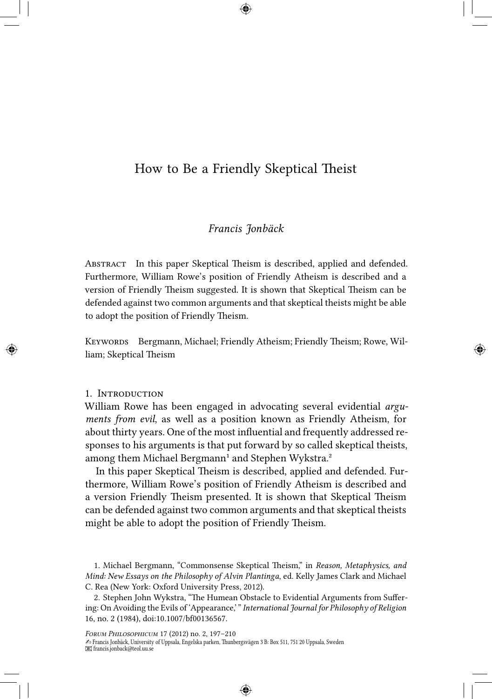# How to Be a Friendly Skeptical Theist

## *Francis Jonbäck*

ABSTRACT In this paper Skeptical Theism is described, applied and defended. Furthermore, William Rowe's position of Friendly Atheism is described and a version of Friendly Theism suggested. It is shown that Skeptical Theism can be defended against two common arguments and that skeptical theists might be able to adopt the position of Friendly Theism.

KEYWORDS Bergmann, Michael; Friendly Atheism; Friendly Theism; Rowe, William; Skeptical Theism

#### 1. INTRODUCTION

William Rowe has been engaged in advocating several evidential *arguments from evil*, as well as a position known as Friendly Atheism, for about thirty years. One of the most influential and frequently addressed responses to his arguments is that put forward by so called skeptical theists, among them Michael Bergmann<sup>1</sup> and Stephen Wykstra.<sup>2</sup>

In this paper Skeptical Theism is described, applied and defended. Furthermore, William Rowe's position of Friendly Atheism is described and a version Friendly Theism presented. It is shown that Skeptical Theism can be defended against two common arguments and that skeptical theists might be able to adopt the position of Friendly Theism.

<sup>1.</sup> Michael Bergmann, "Commonsense Skeptical Theism," in *Reason, Metaphysics, and Mind: New Essays on the Philosophy of Alvin Plantinga*, ed. Kelly James Clark and Michael C. Rea (New York: Oxford University Press, 2012).

<sup>2.</sup> Stephen John Wykstra, "The Humean Obstacle to Evidential Arguments from Suffering: On Avoiding the Evils of 'Appearance,' "*International Journal for Philosophy of Religion* 16, no. 2 (1984), doi:10.1007/bf00136567.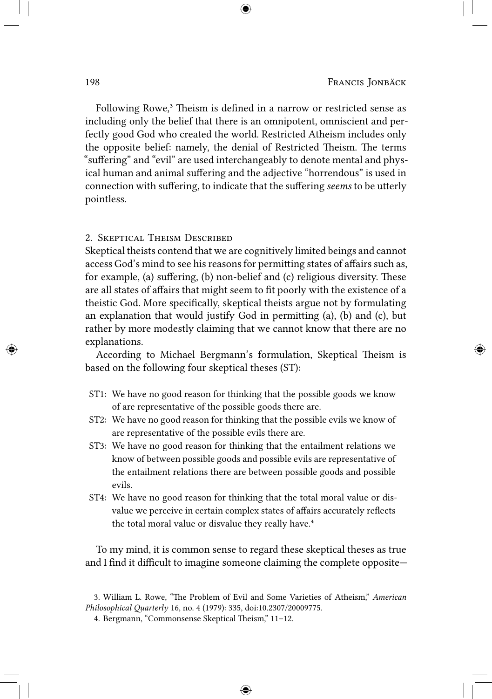Following Rowe,<sup>3</sup> Theism is defined in a narrow or restricted sense as including only the belief that there is an omnipotent, omniscient and perfectly good God who created the world. Restricted Atheism includes only the opposite belief: namely, the denial of Restricted Theism. The terms "suffering" and "evil" are used interchangeably to denote mental and physical human and animal suffering and the adjective "horrendous" is used in connection with suffering, to indicate that the suffering *seems* to be utterly pointless.

### 2. SKEPTICAL THEISM DESCRIBED

Skeptical theists contend that we are cognitively limited beings and cannot access God's mind to see his reasons for permitting states of affairs such as, for example, (a) suffering, (b) non-belief and (c) religious diversity. These are all states of affairs that might seem to fit poorly with the existence of a theistic God. More specifically, skeptical theists argue not by formulating an explanation that would justify God in permitting  $(a)$ ,  $(b)$  and  $(c)$ , but rather by more modestly claiming that we cannot know that there are no explanations.

According to Michael Bergmann's formulation, Skeptical Theism is based on the following four skeptical theses (ST):

- ST1: We have no good reason for thinking that the possible goods we know of are representative of the possible goods there are.
- ST2: We have no good reason for thinking that the possible evils we know of are representative of the possible evils there are.
- ST3: We have no good reason for thinking that the entailment relations we know of between possible goods and possible evils are representative of the entailment relations there are between possible goods and possible evils.
- ST4: We have no good reason for thinking that the total moral value or disvalue we perceive in certain complex states of affairs accurately reflects the total moral value or disvalue they really have.<sup>4</sup>

To my mind, it is common sense to regard these skeptical theses as true and I find it difficult to imagine someone claiming the complete opposite—

<sup>3.</sup> William L. Rowe, "The Problem of Evil and Some Varieties of Atheism," American *Philosophical Quarterly* 16, no. 4 (1979): 335, doi:10.2307/20009775.

<sup>4.</sup> Bergmann, "Commonsense Skeptical Theism," 11-12.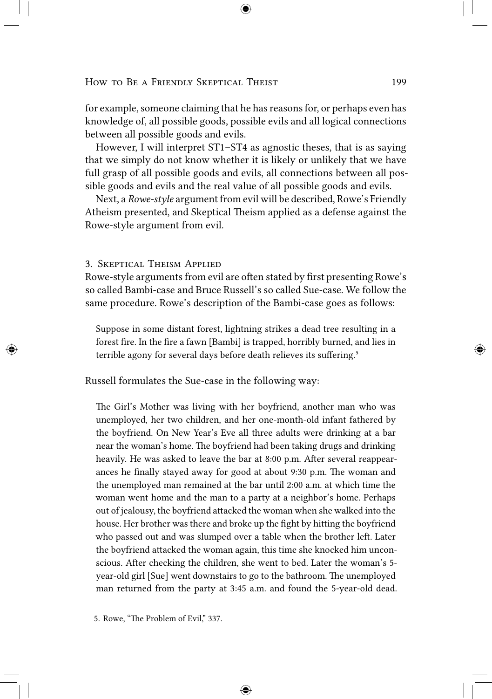for example, someone claiming that he has reasons for, or perhaps even has knowledge of, all possible goods, possible evils and all logical connections between all possible goods and evils.

However, I will interpret ST1–ST4 as agnostic theses, that is as saying that we simply do not know whether it is likely or unlikely that we have full grasp of all possible goods and evils, all connections between all possible goods and evils and the real value of all possible goods and evils.

Next, a *Rowe-style* argument from evil will be described, Rowe's Friendly Atheism presented, and Skeptical Theism applied as a defense against the Rowe-style argument from evil.

#### 3. SKEPTICAL THEISM APPLIED

Rowe-style arguments from evil are often stated by first presenting Rowe's so called Bambi-case and Bruce Russell's so called Sue-case. We follow the same procedure. Rowe's description of the Bambi-case goes as follows:

Suppose in some distant forest, lightning strikes a dead tree resulting in a forest fire. In the fire a fawn [Bambi] is trapped, horribly burned, and lies in terrible agony for several days before death relieves its suffering.<sup>5</sup>

Russell formulates the Sue-case in the following way:

The Girl's Mother was living with her boyfriend, another man who was unemployed, her two children, and her one-month-old infant fathered by the boyfriend. On New Year's Eve all three adults were drinking at a bar near the woman's home. The boyfriend had been taking drugs and drinking heavily. He was asked to leave the bar at 8:00 p.m. After several reappearances he finally stayed away for good at about 9:30 p.m. The woman and the unemployed man remained at the bar until 2:00 a.m. at which time the woman went home and the man to a party at a neighbor's home. Perhaps out of jealousy, the boyfriend attacked the woman when she walked into the house. Her brother was there and broke up the fight by hitting the boyfriend who passed out and was slumped over a table when the brother left. Later the boyfriend attacked the woman again, this time she knocked him unconscious. After checking the children, she went to bed. Later the woman's 5year-old girl [Sue] went downstairs to go to the bathroom. The unemployed man returned from the party at 3:45 a.m. and found the 5-year-old dead.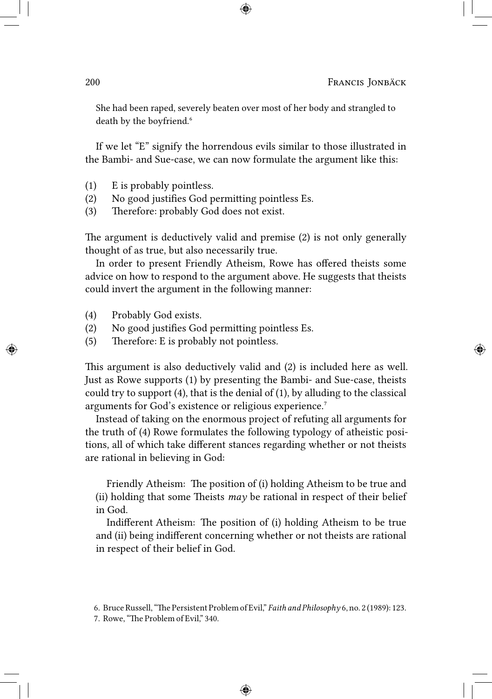She had been raped, severely beaten over most of her body and strangled to death by the boyfriend.<sup>6</sup>

If we let "E" signify the horrendous evils similar to those illustrated in the Bambi- and Sue-case, we can now formulate the argument like this:

- (1) E is probably pointless.
- (2) No good justifies God permitting pointless Es.
- $(3)$  Therefore: probably God does not exist.

The argument is deductively valid and premise (2) is not only generally thought of as true, but also necessarily true.

In order to present Friendly Atheism, Rowe has offered theists some advice on how to respond to the argument above. He suggests that theists could invert the argument in the following manner:

- (4) Probably God exists.
- (2) No good justifies God permitting pointless Es.
- $(5)$  Therefore: E is probably not pointless.

This argument is also deductively valid and (2) is included here as well. Just as Rowe supports (1) by presenting the Bambi- and Sue-case, theists could try to support (4), that is the denial of (1), by alluding to the classical arguments for God's existence or religious experience.<sup>7</sup>

Instead of taking on the enormous project of refuting all arguments for the truth of (4) Rowe formulates the following typology of atheistic positions, all of which take different stances regarding whether or not theists are rational in believing in God:

Friendly Atheism: The position of (i) holding Atheism to be true and (ii) holding that some Theists *may* be rational in respect of their belief in God.

Indifferent Atheism: The position of (i) holding Atheism to be true and (ii) being indifferent concerning whether or not theists are rational in respect of their belief in God.

7. Rowe, "The Problem of Evil," 340.

<sup>6.</sup> Bruce Russell, "The Persistent Problem of Evil," *Faith and Philosophy* 6, no. 2 (1989): 123.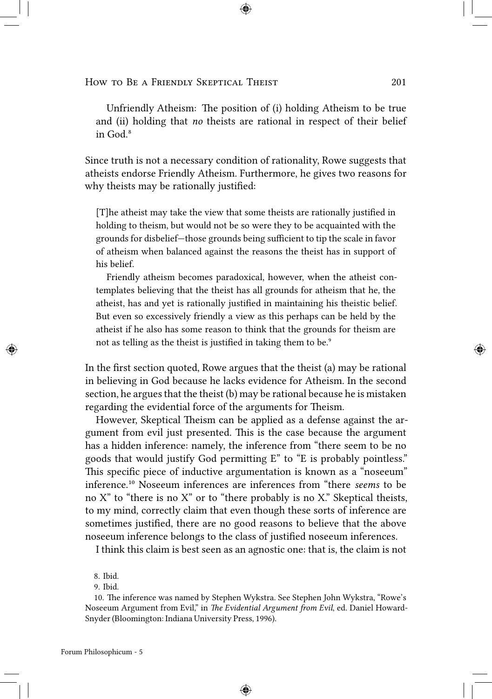How to Be a Friendly Skeptical Theist 7 201

Unfriendly Atheism: The position of (i) holding Atheism to be true and (ii) holding that *no* theists are rational in respect of their belief in God.<sup>8</sup>

Since truth is not a necessary condition of rationality, Rowe suggests that atheists endorse Friendly Atheism. Furthermore, he gives two reasons for why theists may be rationally justified:

[T]he atheist may take the view that some theists are rationally justified in holding to theism, but would not be so were they to be acquainted with the grounds for disbelief—those grounds being sufficient to tip the scale in favor of atheism when balanced against the reasons the theist has in support of his belief.

Friendly atheism becomes paradoxical, however, when the atheist contemplates believing that the theist has all grounds for atheism that he, the atheist, has and yet is rationally justified in maintaining his theistic belief. But even so excessively friendly a view as this perhaps can be held by the atheist if he also has some reason to think that the grounds for theism are not as telling as the theist is justified in taking them to be.<sup>9</sup>

In the first section quoted, Rowe argues that the theist (a) may be rational in believing in God because he lacks evidence for Atheism. In the second section, he argues that the theist (b) may be rational because he is mistaken regarding the evidential force of the arguments for Theism.

However, Skeptical Theism can be applied as a defense against the argument from evil just presented. This is the case because the argument has a hidden inference: namely, the inference from "there seem to be no goods that would justify God permitting E" to "E is probably pointless." This specific piece of inductive argumentation is known as a "noseeum" inference.<sup>10</sup> Noseeum inferences are inferences from "there *seems* to be no X" to "there is no X" or to "there probably is no X." Skeptical theists, to my mind, correctly claim that even though these sorts of inference are sometimes justified, there are no good reasons to believe that the above noseeum inference belongs to the class of justified noseeum inferences.

I think this claim is best seen as an agnostic one: that is, the claim is not

8. Ibid.

9. Ibid.

10. The inference was named by Stephen Wykstra. See Stephen John Wykstra, "Rowe's Noseeum Argument from Evil," in *The Evidential Argument from Evil*, ed. Daniel Howard-Snyder (Bloomington: Indiana University Press, 1996).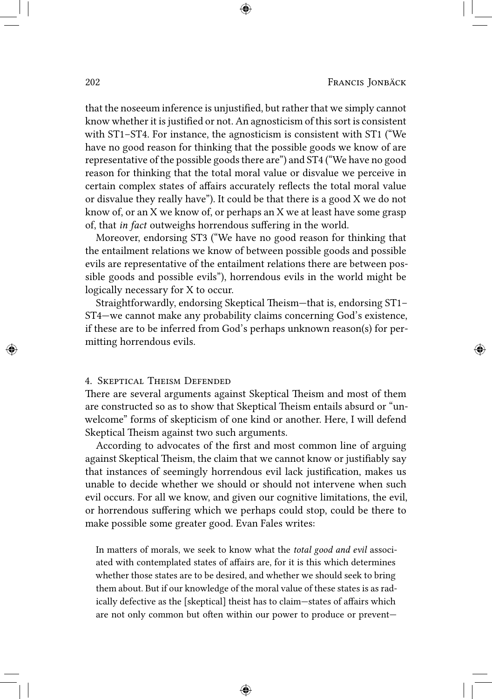that the noseeum inference is unjustified, but rather that we simply cannot know whether it is justified or not. An agnosticism of this sort is consistent with ST1–ST4. For instance, the agnosticism is consistent with ST1 ("We have no good reason for thinking that the possible goods we know of are representative of the possible goods there are") and ST4 ("We have no good reason for thinking that the total moral value or disvalue we perceive in certain complex states of affairs accurately reflects the total moral value or disvalue they really have"). It could be that there is a good X we do not know of, or an X we know of, or perhaps an X we at least have some grasp of, that *in fact* outweighs horrendous suffering in the world.

Moreover, endorsing ST3 ("We have no good reason for thinking that the entailment relations we know of between possible goods and possible evils are representative of the entailment relations there are between possible goods and possible evils"), horrendous evils in the world might be logically necessary for X to occur.

Straightforwardly, endorsing Skeptical Theism-that is, endorsing ST1-ST4—we cannot make any probability claims concerning God's existence, if these are to be inferred from God's perhaps unknown reason(s) for permitting horrendous evils.

#### 4. SKEPTICAL THEISM DEFENDED

There are several arguments against Skeptical Theism and most of them are constructed so as to show that Skeptical Theism entails absurd or "unwelcome" forms of skepticism of one kind or another. Here, I will defend Skeptical Theism against two such arguments.

According to advocates of the first and most common line of arguing against Skeptical Theism, the claim that we cannot know or justifiably say that instances of seemingly horrendous evil lack justification, makes us unable to decide whether we should or should not intervene when such evil occurs. For all we know, and given our cognitive limitations, the evil, or horrendous suffering which we perhaps could stop, could be there to make possible some greater good. Evan Fales writes:

In matters of morals, we seek to know what the *total good and evil* associated with contemplated states of affairs are, for it is this which determines whether those states are to be desired, and whether we should seek to bring them about. But if our knowledge of the moral value of these states is as radically defective as the [skeptical] theist has to claim—states of affairs which are not only common but often within our power to produce or prevent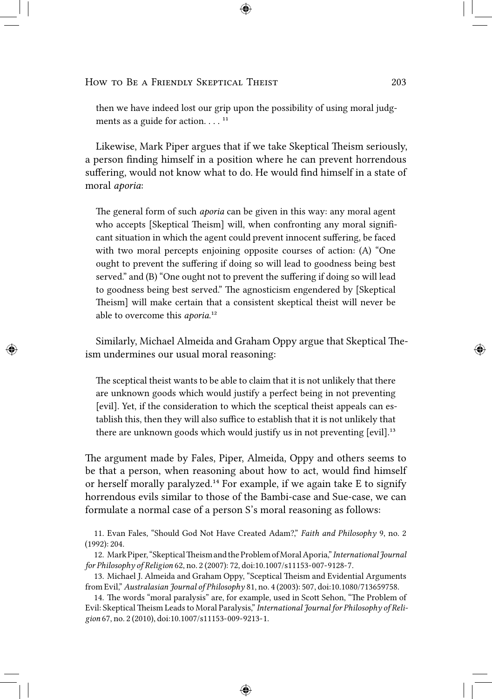then we have indeed lost our grip upon the possibility of using moral judgments as a guide for action.  $\dots$ <sup>11</sup>

Likewise, Mark Piper argues that if we take Skeptical Theism seriously, a person finding himself in a position where he can prevent horrendous suffering, would not know what to do. He would find himself in a state of moral *aporia*:

The general form of such *aporia* can be given in this way: any moral agent who accepts [Skeptical Theism] will, when confronting any moral significant situation in which the agent could prevent innocent suffering, be faced with two moral percepts enjoining opposite courses of action: (A) "One ought to prevent the suffering if doing so will lead to goodness being best served." and (B) "One ought not to prevent the suffering if doing so will lead to goodness being best served." The agnosticism engendered by [Skeptical] Theism] will make certain that a consistent skeptical theist will never be able to overcome this *aporia*.<sup>12</sup>

Similarly, Michael Almeida and Graham Oppy argue that Skeptical Theism undermines our usual moral reasoning:

The sceptical theist wants to be able to claim that it is not unlikely that there are unknown goods which would justify a perfect being in not preventing [evil]. Yet, if the consideration to which the sceptical theist appeals can establish this, then they will also suffice to establish that it is not unlikely that there are unknown goods which would justify us in not preventing  $[$ evil $]$ .<sup>13</sup>

e argument made by Fales, Piper, Almeida, Oppy and others seems to be that a person, when reasoning about how to act, would find himself or herself morally paralyzed.<sup>14</sup> For example, if we again take E to signify horrendous evils similar to those of the Bambi-case and Sue-case, we can formulate a normal case of a person S's moral reasoning as follows:

11. Evan Fales, "Should God Not Have Created Adam?," *Faith and Philosophy* 9, no. 2 (1992): 204.

12. Mark Piper, "Skeptical Theism and the Problem of Moral Aporia," International Journal *for Philosophy of Religion* 62, no. 2 (2007): 72, doi:10.1007/s11153-007-9128-7.

13. Michael J. Almeida and Graham Oppy, "Sceptical Theism and Evidential Arguments from Evil," *Australasian Journal of Philosophy* 81, no. 4 (2003): 507, doi:10.1080/713659758.

14. The words "moral paralysis" are, for example, used in Scott Sehon, "The Problem of Evil: Skeptical Theism Leads to Moral Paralysis," *International Journal for Philosophy of Religion* 67, no. 2 (2010), doi:10.1007/s11153-009-9213-1.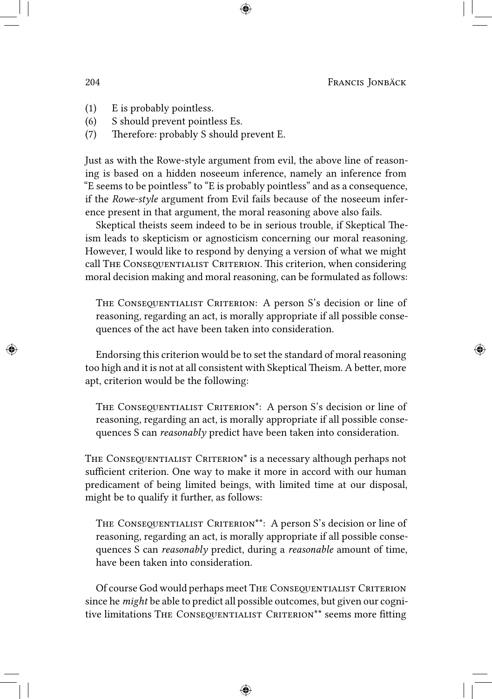- (1) E is probably pointless. (6) S should prevent pointless Es.
- $(7)$  Therefore: probably S should prevent E.

Just as with the Rowe-style argument from evil, the above line of reasoning is based on a hidden noseeum inference, namely an inference from "E seems to be pointless" to "E is probably pointless" and as a consequence, if the *Rowe-style* argument from Evil fails because of the noseeum inference present in that argument, the moral reasoning above also fails.

Skeptical theists seem indeed to be in serious trouble, if Skeptical Theism leads to skepticism or agnosticism concerning our moral reasoning. However, I would like to respond by denying a version of what we might call THE CONSEQUENTIALIST CRITERION. This criterion, when considering moral decision making and moral reasoning, can be formulated as follows:

THE CONSEQUENTIALIST CRITERION: A person S's decision or line of reasoning, regarding an act, is morally appropriate if all possible consequences of the act have been taken into consideration.

Endorsing this criterion would be to set the standard of moral reasoning too high and it is not at all consistent with Skeptical Theism. A better, more apt, criterion would be the following:

THE CONSEQUENTIALIST CRITERION<sup>\*</sup>: A person S's decision or line of reasoning, regarding an act, is morally appropriate if all possible consequences S can *reasonably* predict have been taken into consideration.

THE CONSEQUENTIALIST CRITERION<sup>\*</sup> is a necessary although perhaps not sufficient criterion. One way to make it more in accord with our human predicament of being limited beings, with limited time at our disposal, might be to qualify it further, as follows:

THE CONSEQUENTIALIST CRITERION<sup>\*\*</sup>: A person S's decision or line of reasoning, regarding an act, is morally appropriate if all possible consequences S can *reasonably* predict, during a *reasonable* amount of time, have been taken into consideration.

Of course God would perhaps meet THE CONSEQUENTIALIST CRITERION since he *might* be able to predict all possible outcomes, but given our cognitive limitations THE CONSEQUENTIALIST CRITERION\*\* seems more fitting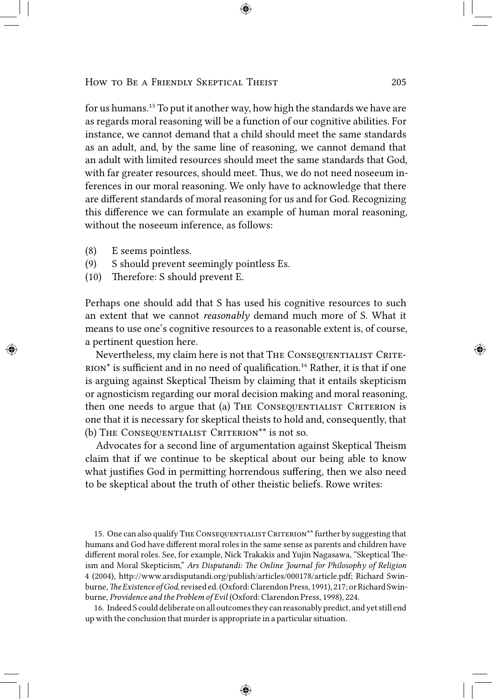#### How to Be a Friendly Skeptical Theist 7 205

for us humans.<sup>15</sup> To put it another way, how high the standards we have are as regards moral reasoning will be a function of our cognitive abilities. For instance, we cannot demand that a child should meet the same standards as an adult, and, by the same line of reasoning, we cannot demand that an adult with limited resources should meet the same standards that God, with far greater resources, should meet. Thus, we do not need noseeum inferences in our moral reasoning. We only have to acknowledge that there are different standards of moral reasoning for us and for God. Recognizing this difference we can formulate an example of human moral reasoning, without the noseeum inference, as follows:

- (8) E seems pointless.
- (9) S should prevent seemingly pointless Es.
- (10) Therefore: S should prevent E.

Perhaps one should add that S has used his cognitive resources to such an extent that we cannot *reasonably* demand much more of S. What it means to use one's cognitive resources to a reasonable extent is, of course, a pertinent question here.

Nevertheless, my claim here is not that THE CONSEQUENTIALIST CRITE- $R$  is sufficient and in no need of qualification.<sup>16</sup> Rather, it is that if one is arguing against Skeptical Theism by claiming that it entails skepticism or agnosticism regarding our moral decision making and moral reasoning, then one needs to argue that (a) THE CONSEQUENTIALIST CRITERION is one that it is necessary for skeptical theists to hold and, consequently, that  $(b)$  The CONSEQUENTIALIST CRITERION<sup>\*\*</sup> is not so.

Advocates for a second line of argumentation against Skeptical Theism claim that if we continue to be skeptical about our being able to know what justifies God in permitting horrendous suffering, then we also need to be skeptical about the truth of other theistic beliefs. Rowe writes:

15. One can also qualify THE CONSEQUENTIALIST CRITERION<sup>\*\*</sup> further by suggesting that humans and God have different moral roles in the same sense as parents and children have different moral roles. See, for example, Nick Trakakis and Yujin Nagasawa, "Skeptical Theism and Moral Skepticism," *Ars Disputandi: The Online Journal for Philosophy of Religion* 4 (2004), http://www.arsdisputandi.org/publish/articles/000178/article.pdf; Richard Swinburne, *The Existence of God*, revised ed. (Oxford: Clarendon Press, 1991), 217; or Richard Swinburne, *Providence and the Problem of Evil* (Oxford: Clarendon Press, 1998), 224.

16. Indeed S could deliberate on all outcomes they can reasonably predict, and yet still end up with the conclusion that murder is appropriate in a particular situation.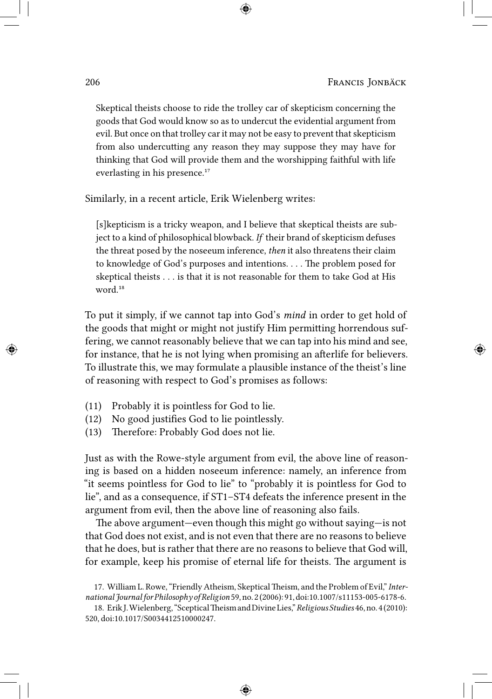Skeptical theists choose to ride the trolley car of skepticism concerning the goods that God would know so as to undercut the evidential argument from evil. But once on that trolley car it may not be easy to prevent that skepticism from also undercutting any reason they may suppose they may have for thinking that God will provide them and the worshipping faithful with life everlasting in his presence.<sup>17</sup>

Similarly, in a recent article, Erik Wielenberg writes:

[s]kepticism is a tricky weapon, and I believe that skeptical theists are subject to a kind of philosophical blowback. *If* their brand of skepticism defuses the threat posed by the noseeum inference, *then* it also threatens their claim to knowledge of God's purposes and intentions.  $\ldots$  The problem posed for skeptical theists . . . is that it is not reasonable for them to take God at His word.<sup>18</sup>

To put it simply, if we cannot tap into God's *mind* in order to get hold of the goods that might or might not justify Him permitting horrendous suffering, we cannot reasonably believe that we can tap into his mind and see, for instance, that he is not lying when promising an afterlife for believers. To illustrate this, we may formulate a plausible instance of the theist's line of reasoning with respect to God's promises as follows:

- (11) Probably it is pointless for God to lie.
- (12) No good justifies God to lie pointlessly.
- $(13)$  Therefore: Probably God does not lie.

Just as with the Rowe-style argument from evil, the above line of reasoning is based on a hidden noseeum inference: namely, an inference from "it seems pointless for God to lie" to "probably it is pointless for God to lie", and as a consequence, if ST1–ST4 defeats the inference present in the argument from evil, then the above line of reasoning also fails.

The above argument—even though this might go without saying—is not that God does not exist, and is not even that there are no reasons to believe that he does, but is rather that there are no reasons to believe that God will, for example, keep his promise of eternal life for theists. The argument is

<sup>17.</sup> William L. Rowe, "Friendly Atheism, Skeptical Theism, and the Problem of Evil," Inter*national Journal for Philosophy of Religion* 59, no. 2 (2006): 91, doi:10.1007/s11153-005-6178-6.

<sup>18.</sup> Erik J. Wielenberg, "Sceptical Theismand Divine Lies," Religious Studies 46, no. 4(2010): 520, doi:10.1017/S0034412510000247.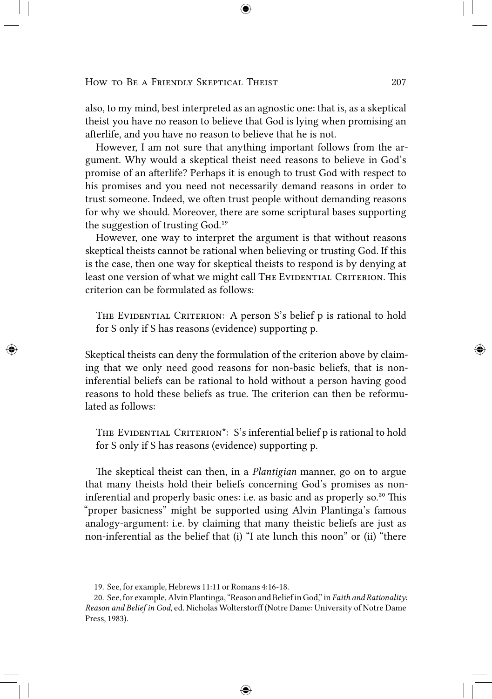also, to my mind, best interpreted as an agnostic one: that is, as a skeptical theist you have no reason to believe that God is lying when promising an afterlife, and you have no reason to believe that he is not.

However, I am not sure that anything important follows from the argument. Why would a skeptical theist need reasons to believe in God's promise of an afterlife? Perhaps it is enough to trust God with respect to his promises and you need not necessarily demand reasons in order to trust someone. Indeed, we often trust people without demanding reasons for why we should. Moreover, there are some scriptural bases supporting the suggestion of trusting  $God.^{19}$ 

However, one way to interpret the argument is that without reasons skeptical theists cannot be rational when believing or trusting God. If this is the case, then one way for skeptical theists to respond is by denying at least one version of what we might call THE EVIDENTIAL CRITERION. This criterion can be formulated as follows:

THE EVIDENTIAL CRITERION: A person S's belief p is rational to hold for S only if S has reasons (evidence) supporting p.

Skeptical theists can deny the formulation of the criterion above by claiming that we only need good reasons for non-basic beliefs, that is noninferential beliefs can be rational to hold without a person having good reasons to hold these beliefs as true. The criterion can then be reformulated as follows:

THE EVIDENTIAL CRITERION<sup>\*</sup>: S's inferential belief p is rational to hold for S only if S has reasons (evidence) supporting p.

The skeptical theist can then, in a *Plantigian* manner, go on to argue that many theists hold their beliefs concerning God's promises as noninferential and properly basic ones: i.e. as basic and as properly so.<sup>20</sup> This "proper basicness" might be supported using Alvin Plantinga's famous analogy-argument: i.e. by claiming that many theistic beliefs are just as non-inferential as the belief that (i) "I ate lunch this noon" or (ii) "there

<sup>19.</sup> See, for example, Hebrews 11:11 or Romans 4:16-18.

<sup>20.</sup> See, for example, Alvin Plantinga, "Reason and Belief in God," in *Faith and Rationality: Reason and Belief in God*, ed. Nicholas Wolterstorff (Notre Dame: University of Notre Dame Press, 1983).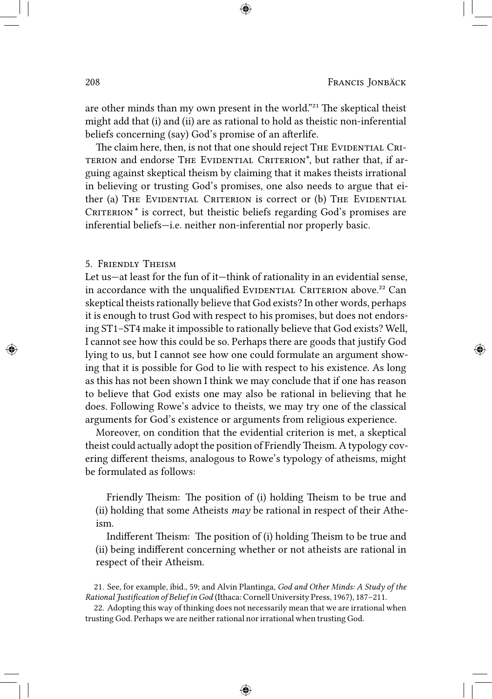are other minds than my own present in the world."<sup>21</sup> The skeptical theist might add that (i) and (ii) are as rational to hold as theistic non-inferential beliefs concerning (say) God's promise of an afterlife.

The claim here, then, is not that one should reject THE EVIDENTIAL CRI-TERION and endorse THE EVIDENTIAL CRITERION\*, but rather that, if arguing against skeptical theism by claiming that it makes theists irrational in believing or trusting God's promises, one also needs to argue that either (a) THE EVIDENTIAL CRITERION is correct or (b) THE EVIDENTIAL CRITERION<sup>\*</sup> is correct, but theistic beliefs regarding God's promises are inferential beliefs—i.e. neither non-inferential nor properly basic.

#### 5. FRIENDLY THEISM

Let us—at least for the fun of it—think of rationality in an evidential sense, in accordance with the unqualified EVIDENTIAL CRITERION above.<sup>22</sup> Can skeptical theists rationally believe that God exists? In other words, perhaps it is enough to trust God with respect to his promises, but does not endorsing ST1–ST4 make it impossible to rationally believe that God exists? Well, I cannot see how this could be so. Perhaps there are goods that justify God lying to us, but I cannot see how one could formulate an argument showing that it is possible for God to lie with respect to his existence. As long as this has not been shown I think we may conclude that if one has reason to believe that God exists one may also be rational in believing that he does. Following Rowe's advice to theists, we may try one of the classical arguments for God's existence or arguments from religious experience.

Moreover, on condition that the evidential criterion is met, a skeptical theist could actually adopt the position of Friendly Theism. A typology covering different theisms, analogous to Rowe's typology of atheisms, might be formulated as follows:

Friendly Theism: The position of (i) holding Theism to be true and (ii) holding that some Atheists *may* be rational in respect of their Atheism.

Indifferent Theism: The position of (i) holding Theism to be true and (ii) being indifferent concerning whether or not atheists are rational in respect of their Atheism.

21. See, for example, ibid., 59; and Alvin Plantinga, *God and Other Minds: A Study of the Rational Justification of Belief in God* (Ithaca: Cornell University Press, 1967), 187–211.

22. Adopting this way of thinking does not necessarily mean that we are irrational when trusting God. Perhaps we are neither rational nor irrational when trusting God.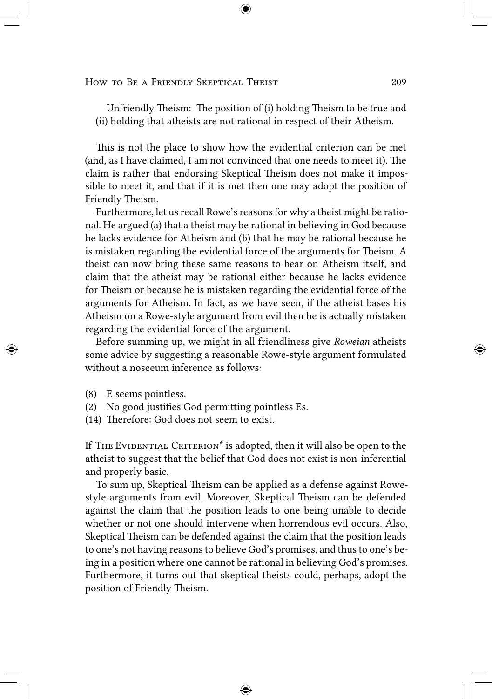How to Be a Friendly Skeptical Theist 7 209

Unfriendly Theism: The position of (i) holding Theism to be true and (ii) holding that atheists are not rational in respect of their Atheism.

This is not the place to show how the evidential criterion can be met (and, as I have claimed, I am not convinced that one needs to meet it). The claim is rather that endorsing Skeptical Theism does not make it impossible to meet it, and that if it is met then one may adopt the position of Friendly Theism.

Furthermore, let us recall Rowe's reasons for why a theist might be rational. He argued (a) that a theist may be rational in believing in God because he lacks evidence for Atheism and (b) that he may be rational because he is mistaken regarding the evidential force of the arguments for Theism. A theist can now bring these same reasons to bear on Atheism itself, and claim that the atheist may be rational either because he lacks evidence for Theism or because he is mistaken regarding the evidential force of the arguments for Atheism. In fact, as we have seen, if the atheist bases his Atheism on a Rowe-style argument from evil then he is actually mistaken regarding the evidential force of the argument.

Before summing up, we might in all friendliness give *Roweian* atheists some advice by suggesting a reasonable Rowe-style argument formulated without a noseeum inference as follows:

- (8) E seems pointless.
- $(2)$  No good justifies God permitting pointless Es.
- $(14)$  Therefore: God does not seem to exist.

If THE EVIDENTIAL CRITERION<sup>\*</sup> is adopted, then it will also be open to the atheist to suggest that the belief that God does not exist is non-inferential and properly basic.

To sum up, Skeptical Theism can be applied as a defense against Rowestyle arguments from evil. Moreover, Skeptical Theism can be defended against the claim that the position leads to one being unable to decide whether or not one should intervene when horrendous evil occurs. Also, Skeptical Theism can be defended against the claim that the position leads to one's not having reasons to believe God's promises, and thus to one's being in a position where one cannot be rational in believing God's promises. Furthermore, it turns out that skeptical theists could, perhaps, adopt the position of Friendly Theism.